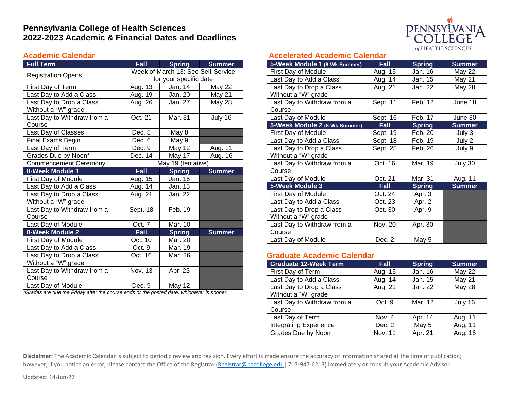# **Pennsylvania College of Health Sciences 2022-2023 Academic & Financial Dates and Deadlines**

### **Academic Calendar**

| <b>Full Term</b>             | <b>Fall</b>                        | <b>Spring</b> | <b>Summer</b> |
|------------------------------|------------------------------------|---------------|---------------|
|                              | Week of March 13: See Self-Service |               |               |
| <b>Registration Opens</b>    | for your specific date             |               |               |
| First Day of Term            | Aug. 13                            | Jan. 14       | <b>May 22</b> |
| Last Day to Add a Class      | Aug. 19                            | Jan. 20       | May 21        |
| Last Day to Drop a Class     | Aug. 26                            | Jan. 27       | <b>May 28</b> |
| Without a "W" grade          |                                    |               |               |
| Last Day to Withdraw from a  | Oct. 21                            | Mar. 31       | July 16       |
| Course                       |                                    |               |               |
| Last Day of Classes          | Dec. 5                             | May 8         |               |
| Final Exams Begin            | Dec. 6                             | May 9         |               |
| Last Day of Term             | Dec. 9                             | <b>May 12</b> | Aug. 11       |
| Grades Due by Noon*          | Dec. 14                            | May 17        | Aug. 16       |
| <b>Commencement Ceremony</b> | May 19 (tentative)                 |               |               |
| 8-Week Module 1              | Fall                               | <b>Spring</b> | <b>Summer</b> |
| First Day of Module          | Aug. 15                            | Jan. 16       |               |
| Last Day to Add a Class      | Aug. 14                            | Jan. 15       |               |
| Last Day to Drop a Class     | Aug. 21                            | Jan. 22       |               |
| Without a "W" grade          |                                    |               |               |
| Last Day to Withdraw from a  | Sept. 18                           | Feb. 19       |               |
| Course                       |                                    |               |               |
| Last Day of Module           | Oct. 7                             | Mar. 10       |               |
| 8-Week Module 2              | Fall                               | <b>Spring</b> | <b>Summer</b> |
| First Day of Module          | Oct. 10                            | Mar. 20       |               |
| Last Day to Add a Class      | Oct. 9                             | Mar. 19       |               |
| Last Day to Drop a Class     | Oct. 16                            | Mar. 26       |               |
| Without a "W" grade          |                                    |               |               |
| Last Day to Withdraw from a  | Nov. 13                            | Apr. 23       |               |
| Course                       |                                    |               |               |
| Last Day of Module           | Dec. 9                             | May 12        |               |

*\*Grades are due the Friday after the course ends or the posted date, whichever is sooner.*

### **Accelerated Academic Calendar**

| 5-Week Module 1 (6-Wk Summer) | <b>Fall</b> | <b>Spring</b> | <b>Summer</b> |
|-------------------------------|-------------|---------------|---------------|
| First Day of Module           | Aug. 15     | Jan. 16       | May 22        |
| Last Day to Add a Class       | Aug. 14     | Jan. 15       | May 21        |
| Last Day to Drop a Class      | Aug. 21     | Jan. 22       | <b>May 28</b> |
| Without a "W" grade           |             |               |               |
| Last Day to Withdraw from a   | Sept. 11    | Feb. 12       | June 18       |
| Course                        |             |               |               |
| Last Day of Module            | Sept. 16    | Feb. 17       | June 30       |
| 5-Week Module 2 (6-Wk Summer) | Fall        | <b>Spring</b> | <b>Summer</b> |
| First Day of Module           | Sept. 19    | Feb. 20       | July 3        |
| Last Day to Add a Class       | Sept. 18    | Feb. 19       | July 2        |
| Last Day to Drop a Class      | Sept. 25    | Feb. 26       | July 9        |
| Without a "W" grade           |             |               |               |
| Last Day to Withdraw from a   | Oct. 16     | Mar. 19       | July 30       |
| Course                        |             |               |               |
| Last Day of Module            | Oct. 21     | Mar. 31       | Aug. 11       |
| 5-Week Module 3               | <b>Fall</b> | <b>Spring</b> | <b>Summer</b> |
| First Day of Module           | Oct. 24     | Apr. 3        |               |
| Last Day to Add a Class       | Oct. 23     | Apr. 2        |               |
| Last Day to Drop a Class      | Oct. 30     | Apr. 9        |               |
| Without a "W" grade           |             |               |               |
| Last Day to Withdraw from a   | Nov. 20     | Apr. 30       |               |
| Course                        |             |               |               |
| Last Day of Module            | Dec. 2      | May 5         |               |

### **Graduate Academic Calendar**

| <b>Graduate 12-Week Term</b>                    | <b>Fall</b> | <b>Spring</b> | <b>Summer</b> |
|-------------------------------------------------|-------------|---------------|---------------|
| First Day of Term                               | Aug. 15     | Jan. 16       | <b>May 22</b> |
| Last Day to Add a Class                         | Aug. 14     | Jan. 15       | May 21        |
| Last Day to Drop a Class<br>Without a "W" grade | Aug. 21     | Jan. 22       | May 28        |
| Last Day to Withdraw from a                     | Oct. 9      | Mar. 12       | July 16       |
| Course                                          |             |               |               |
| Last Day of Term                                | Nov. 4      | Apr. 14       | Aug. 11       |
| <b>Integrating Experience</b>                   | Dec. 2      | May 5         | Aug. 11       |
| Grades Due by Noon                              | Nov. 11     | Apr. 21       | Aug. 16       |

**Disclaimer:** The Academic Calendar is subject to periodic review and revision. Every effort is made ensure the accuracy of information shared at the time of publication; however, if you notice an error, please contact the Office of the Registrar (Registrar@pacollege.edu) 717-947-6213) immediately or consult your Academic Advisor.